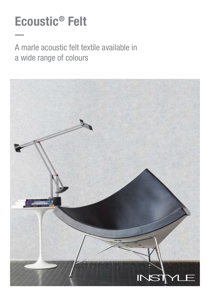# Ecoustic® Felt

## A marle acoustic felt textile available in a wide range of colours

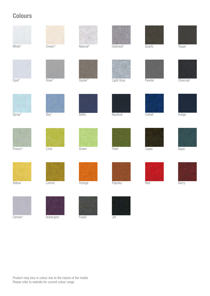### **Colours**







Product may vary in colour due to the nature of the media

Please refer to website for current colour range